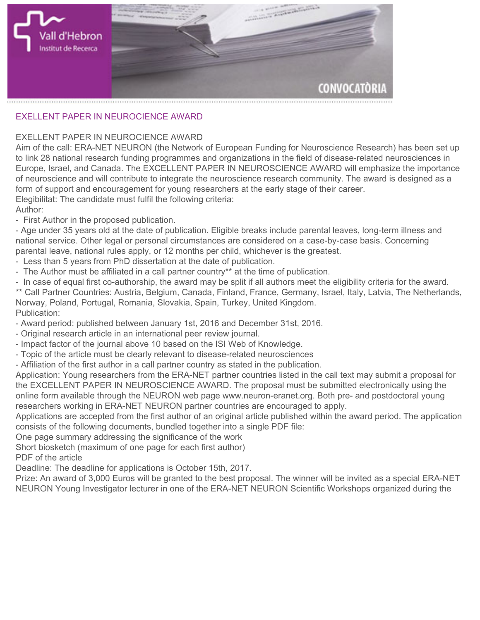

## **EXELLENT PAPER IN NEUROCIENCE AWARD**

## **EXELLENT PAPER IN NEUROCIENCE AWARD**

**Aim of the call: ERA-NET NEURON (the Network of European Funding for Neuroscience Research) has been set up to link 28 national research funding programmes and organizations in the field of disease-related neurosciences in Europe, Israel, and Canada. The EXCELLENT PAPER IN NEUROSCIENCE AWARD will emphasize the importance of neuroscience and will contribute to integrate the neuroscience research community. The award is designed as a form of support and encouragement for young researchers at the early stage of their career. Elegibilitat: The candidate must fulfil the following criteria:**

**Author:**

**- First Author in the proposed publication.**

**- Age under 35 years old at the date of publication. Eligible breaks include parental leaves, long-term illness and national service. Other legal or personal circumstances are considered on a case-by-case basis. Concerning parental leave, national rules apply, or 12 months per child, whichever is the greatest.**

**- Less than 5 years from PhD dissertation at the date of publication.**

**- The Author must be affiliated in a call partner country\*\* at the time of publication.**

**- In case of equal first co-authorship, the award may be split if all authors meet the eligibility criteria for the award. \*\* Call Partner Countries: Austria, Belgium, Canada, Finland, France, Germany, Israel, Italy, Latvia, The Netherlands, Norway, Poland, Portugal, Romania, Slovakia, Spain, Turkey, United Kingdom. Publication:**

**- Award period: published between January 1st, 2016 and December 31st, 2016.**

- **Original research article in an international peer review journal.**
- **Impact factor of the journal above 10 based on the ISI Web of Knowledge.**
- **Topic of the article must be clearly relevant to disease-related neurosciences**
- **Affiliation of the first author in a call partner country as stated in the publication.**

**Application: Young researchers from the ERA-NET partner countries listed in the call text may submit a proposal for the EXCELLENT PAPER IN NEUROSCIENCE AWARD. The proposal must be submitted electronically using the online form available through the NEURON web page www.neuron-eranet.org. Both pre- and postdoctoral young researchers working in ERA-NET NEURON partner countries are encouraged to apply.**

**Applications are accepted from the first author of an original article published within the award period. The application consists of the following documents, bundled together into a single PDF file:**

**One page summary addressing the significance of the work**

**Short biosketch (maximum of one page for each first author)**

**PDF of the article**

**Deadline: The deadline for applications is October 15th, 2017.**

**Prize: An award of 3,000 Euros will be granted to the best proposal. The winner will be invited as a special ERA-NET NEURON Young Investigator lecturer in one of the ERA-NET NEURON Scientific Workshops organized during the**